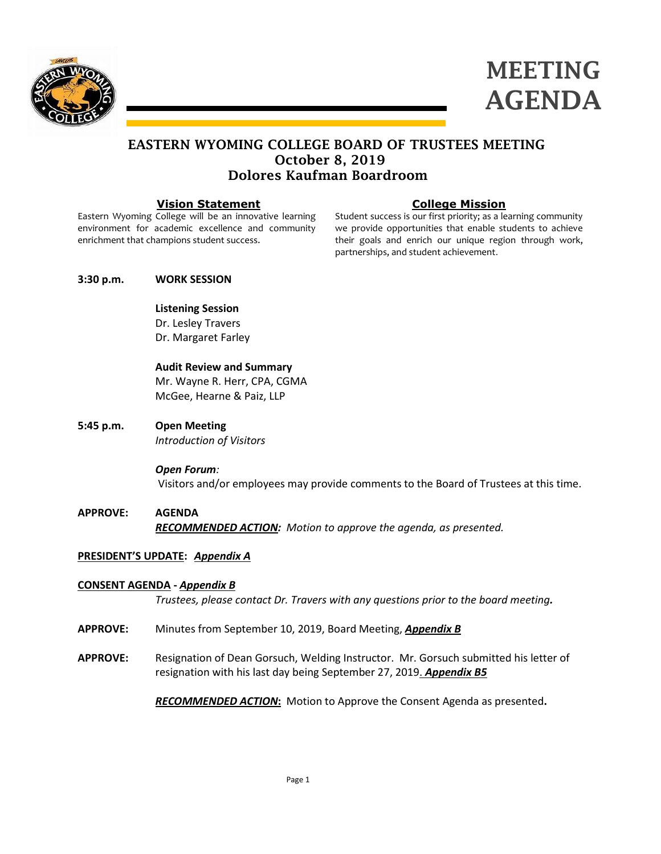



# EASTERN WYOMING COLLEGE BOARD OF TRUSTEES MEETING October 8, 2019 Dolores Kaufman Boardroom

### **Vision Statement**

Eastern Wyoming College will be an innovative learning environment for academic excellence and community enrichment that champions student success.

# **College Mission**

Student success is our first priority; as a learning community we provide opportunities that enable students to achieve their goals and enrich our unique region through work, partnerships, and student achievement.

### **3:30 p.m. WORK SESSION**

## **Listening Session** Dr. Lesley Travers

Dr. Margaret Farley

## **Audit Review and Summary**

Mr. Wayne R. Herr, CPA, CGMA McGee, Hearne & Paiz, LLP

**5:45 p.m. Open Meeting** *Introduction of Visitors*

### *Open Forum:*

Visitors and/or employees may provide comments to the Board of Trustees at this time.

**APPROVE: AGENDA** *RECOMMENDED ACTION: Motion to approve the agenda, as presented.*

# **PRESIDENT'S UPDATE:** *Appendix A*

# **CONSENT AGENDA -** *Appendix B*

*Trustees, please contact Dr. Travers with any questions prior to the board meeting.*

- **APPROVE:** Minutes from September 10, 2019, Board Meeting, *Appendix B*
- **APPROVE:** Resignation of Dean Gorsuch, Welding Instructor. Mr. Gorsuch submitted his letter of resignation with his last day being September 27, 2019. *Appendix B5*

*RECOMMENDED ACTION***:** Motion to Approve the Consent Agenda as presented**.**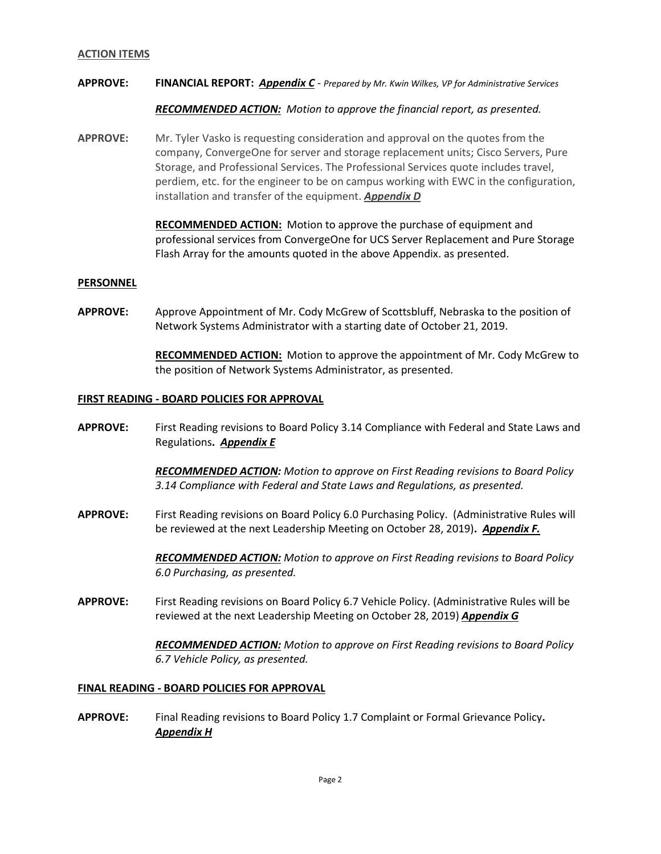#### **ACTION ITEMS**

#### **APPROVE: FINANCIAL REPORT:** *Appendix C* - *Prepared by Mr. Kwin Wilkes, VP for Administrative Services*

*RECOMMENDED ACTION: Motion to approve the financial report, as presented.*

**APPROVE:** Mr. Tyler Vasko is requesting consideration and approval on the quotes from the company, ConvergeOne for server and storage replacement units; Cisco Servers, Pure Storage, and Professional Services. The Professional Services quote includes travel, perdiem, etc. for the engineer to be on campus working with EWC in the configuration, installation and transfer of the equipment. *Appendix D*

> **RECOMMENDED ACTION:** Motion to approve the purchase of equipment and professional services from ConvergeOne for UCS Server Replacement and Pure Storage Flash Array for the amounts quoted in the above Appendix. as presented.

### **PERSONNEL**

**APPROVE:** Approve Appointment of Mr. Cody McGrew of Scottsbluff, Nebraska to the position of Network Systems Administrator with a starting date of October 21, 2019.

> **RECOMMENDED ACTION:** Motion to approve the appointment of Mr. Cody McGrew to the position of Network Systems Administrator, as presented.

#### **FIRST READING - BOARD POLICIES FOR APPROVAL**

**APPROVE:** First Reading revisions to Board Policy 3.14 Compliance with Federal and State Laws and Regulations**.** *Appendix E*

> *RECOMMENDED ACTION: Motion to approve on First Reading revisions to Board Policy 3.14 Compliance with Federal and State Laws and Regulations, as presented.*

**APPROVE:** First Reading revisions on Board Policy 6.0 Purchasing Policy. (Administrative Rules will be reviewed at the next Leadership Meeting on October 28, 2019)**.** *Appendix F.*

> *RECOMMENDED ACTION: Motion to approve on First Reading revisions to Board Policy 6.0 Purchasing, as presented.*

**APPROVE:** First Reading revisions on Board Policy 6.7 Vehicle Policy. (Administrative Rules will be reviewed at the next Leadership Meeting on October 28, 2019) *Appendix G*

> *RECOMMENDED ACTION: Motion to approve on First Reading revisions to Board Policy 6.7 Vehicle Policy, as presented.*

#### **FINAL READING - BOARD POLICIES FOR APPROVAL**

**APPROVE:** Final Reading revisions to Board Policy 1.7 Complaint or Formal Grievance Policy**.** *Appendix H*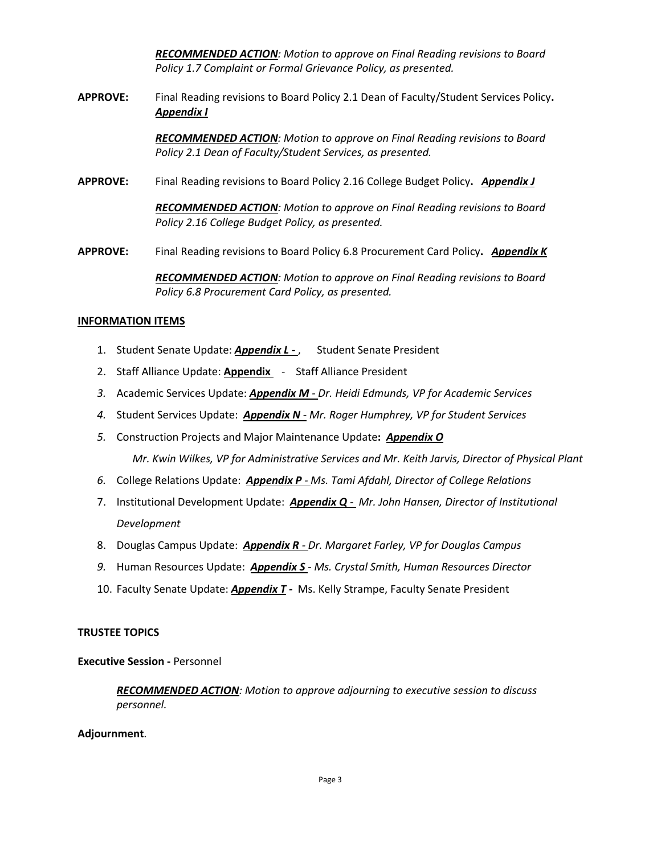*RECOMMENDED ACTION: Motion to approve on Final Reading revisions to Board Policy 1.7 Complaint or Formal Grievance Policy, as presented.*

**APPROVE:** Final Reading revisions to Board Policy 2.1 Dean of Faculty/Student Services Policy**.** *Appendix I*

> *RECOMMENDED ACTION: Motion to approve on Final Reading revisions to Board Policy 2.1 Dean of Faculty/Student Services, as presented.*

**APPROVE:** Final Reading revisions to Board Policy 2.16 College Budget Policy**.** *Appendix J*

*RECOMMENDED ACTION: Motion to approve on Final Reading revisions to Board Policy 2.16 College Budget Policy, as presented.*

**APPROVE:** Final Reading revisions to Board Policy 6.8 Procurement Card Policy**.** *Appendix K*

*RECOMMENDED ACTION: Motion to approve on Final Reading revisions to Board Policy 6.8 Procurement Card Policy, as presented.*

### **INFORMATION ITEMS**

- 1. Student Senate Update: *Appendix L -* , Student Senate President
- 2. Staff Alliance Update: **Appendix**  Staff Alliance President
- *3.* Academic Services Update: *Appendix M - Dr. Heidi Edmunds, VP for Academic Services*
- *4.* Student Services Update: *Appendix N - Mr. Roger Humphrey, VP for Student Services*
- *5.* Construction Projects and Major Maintenance Update**:** *Appendix O*

*Mr. Kwin Wilkes, VP for Administrative Services and Mr. Keith Jarvis, Director of Physical Plant*

- *6.* College Relations Update: *Appendix P - Ms. Tami Afdahl, Director of College Relations*
- 7. Institutional Development Update: *Appendix Q - Mr. John Hansen, Director of Institutional Development*
- 8. Douglas Campus Update: *Appendix R - Dr. Margaret Farley, VP for Douglas Campus*
- *9.* Human Resources Update: *Appendix S Ms. Crystal Smith, Human Resources Director*
- 10. Faculty Senate Update: *Appendix T -* Ms. Kelly Strampe, Faculty Senate President

### **TRUSTEE TOPICS**

**Executive Session -** Personnel

*RECOMMENDED ACTION: Motion to approve adjourning to executive session to discuss personnel.*

#### **Adjournment**.